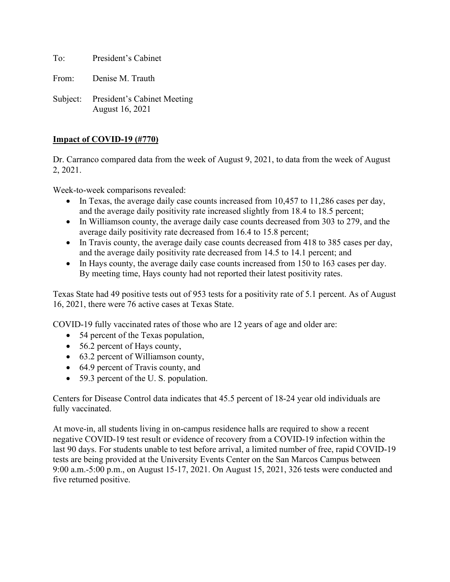To: President's Cabinet

From: Denise M. Trauth

Subject: President's Cabinet Meeting August 16, 2021

## **Impact of COVID-19 (#770)**

Dr. Carranco compared data from the week of August 9, 2021, to data from the week of August 2, 2021.

Week-to-week comparisons revealed:

- In Texas, the average daily case counts increased from 10,457 to 11,286 cases per day, and the average daily positivity rate increased slightly from 18.4 to 18.5 percent;
- In Williamson county, the average daily case counts decreased from 303 to 279, and the average daily positivity rate decreased from 16.4 to 15.8 percent;
- In Travis county, the average daily case counts decreased from 418 to 385 cases per day, and the average daily positivity rate decreased from 14.5 to 14.1 percent; and
- In Hays county, the average daily case counts increased from 150 to 163 cases per day. By meeting time, Hays county had not reported their latest positivity rates.

Texas State had 49 positive tests out of 953 tests for a positivity rate of 5.1 percent. As of August 16, 2021, there were 76 active cases at Texas State.

COVID-19 fully vaccinated rates of those who are 12 years of age and older are:

- 54 percent of the Texas population,
- 56.2 percent of Hays county,
- 63.2 percent of Williamson county,
- 64.9 percent of Travis county, and
- 59.3 percent of the U.S. population.

Centers for Disease Control data indicates that 45.5 percent of 18-24 year old individuals are fully vaccinated.

At move-in, all students living in on-campus residence halls are required to show a recent negative COVID-19 test result or evidence of recovery from a COVID-19 infection within the last 90 days. For students unable to test before arrival, a limited number of free, rapid COVID-19 tests are being provided at the University Events Center on the San Marcos Campus between 9:00 a.m.-5:00 p.m., on August 15-17, 2021. On August 15, 2021, 326 tests were conducted and five returned positive.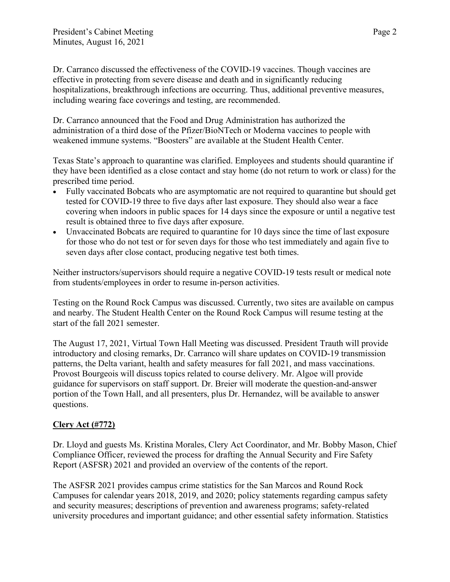Dr. Carranco discussed the effectiveness of the COVID-19 vaccines. Though vaccines are effective in protecting from severe disease and death and in significantly reducing hospitalizations, breakthrough infections are occurring. Thus, additional preventive measures, including wearing face coverings and testing, are recommended.

Dr. Carranco announced that the Food and Drug Administration has authorized the administration of a third dose of the Pfizer/BioNTech or Moderna vaccines to people with weakened immune systems. "Boosters" are available at the Student Health Center.

Texas State's approach to quarantine was clarified. Employees and students should quarantine if they have been identified as a close contact and stay home (do not return to work or class) for the prescribed time period.

- Fully vaccinated Bobcats who are asymptomatic are not required to quarantine but should get tested for COVID-19 three to five days after last exposure. They should also wear a face covering when indoors in public spaces for 14 days since the exposure or until a negative test result is obtained three to five days after exposure.
- Unvaccinated Bobcats are required to quarantine for 10 days since the time of last exposure for those who do not test or for seven days for those who test immediately and again five to seven days after close contact, producing negative test both times.

Neither instructors/supervisors should require a negative COVID-19 tests result or medical note from students/employees in order to resume in-person activities.

Testing on the Round Rock Campus was discussed. Currently, two sites are available on campus and nearby. The Student Health Center on the Round Rock Campus will resume testing at the start of the fall 2021 semester.

The August 17, 2021, Virtual Town Hall Meeting was discussed. President Trauth will provide introductory and closing remarks, Dr. Carranco will share updates on COVID-19 transmission patterns, the Delta variant, health and safety measures for fall 2021, and mass vaccinations. Provost Bourgeois will discuss topics related to course delivery. Mr. Algoe will provide guidance for supervisors on staff support. Dr. Breier will moderate the question-and-answer portion of the Town Hall, and all presenters, plus Dr. Hernandez, will be available to answer questions.

# **Clery Act (#772)**

Dr. Lloyd and guests Ms. Kristina Morales, Clery Act Coordinator, and Mr. Bobby Mason, Chief Compliance Officer, reviewed the process for drafting the Annual Security and Fire Safety Report (ASFSR) 2021 and provided an overview of the contents of the report.

The ASFSR 2021 provides campus crime statistics for the San Marcos and Round Rock Campuses for calendar years 2018, 2019, and 2020; policy statements regarding campus safety and security measures; descriptions of prevention and awareness programs; safety-related university procedures and important guidance; and other essential safety information. Statistics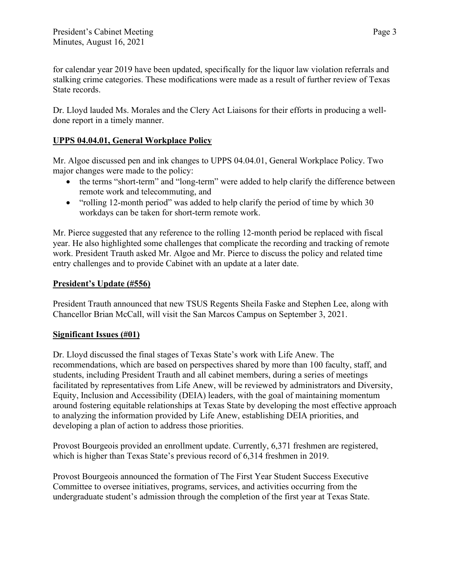for calendar year 2019 have been updated, specifically for the liquor law violation referrals and stalking crime categories. These modifications were made as a result of further review of Texas State records.

Dr. Lloyd lauded Ms. Morales and the Clery Act Liaisons for their efforts in producing a welldone report in a timely manner.

## **UPPS 04.04.01, General Workplace Policy**

Mr. Algoe discussed pen and ink changes to UPPS 04.04.01, General Workplace Policy. Two major changes were made to the policy:

- the terms "short-term" and "long-term" were added to help clarify the difference between remote work and telecommuting, and
- "rolling 12-month period" was added to help clarify the period of time by which 30 workdays can be taken for short-term remote work.

Mr. Pierce suggested that any reference to the rolling 12-month period be replaced with fiscal year. He also highlighted some challenges that complicate the recording and tracking of remote work. President Trauth asked Mr. Algoe and Mr. Pierce to discuss the policy and related time entry challenges and to provide Cabinet with an update at a later date.

## **President's Update (#556)**

President Trauth announced that new TSUS Regents Sheila Faske and Stephen Lee, along with Chancellor Brian McCall, will visit the San Marcos Campus on September 3, 2021.

## **Significant Issues (#01)**

Dr. Lloyd discussed the final stages of Texas State's work with Life Anew. The recommendations, which are based on perspectives shared by more than 100 faculty, staff, and students, including President Trauth and all cabinet members, during a series of meetings facilitated by representatives from Life Anew, will be reviewed by administrators and Diversity, Equity, Inclusion and Accessibility (DEIA) leaders, with the goal of maintaining momentum around fostering equitable relationships at Texas State by developing the most effective approach to analyzing the information provided by Life Anew, establishing DEIA priorities, and developing a plan of action to address those priorities.

Provost Bourgeois provided an enrollment update. Currently, 6,371 freshmen are registered, which is higher than Texas State's previous record of 6,314 freshmen in 2019.

Provost Bourgeois announced the formation of The First Year Student Success Executive Committee to oversee initiatives, programs, services, and activities occurring from the undergraduate student's admission through the completion of the first year at Texas State.